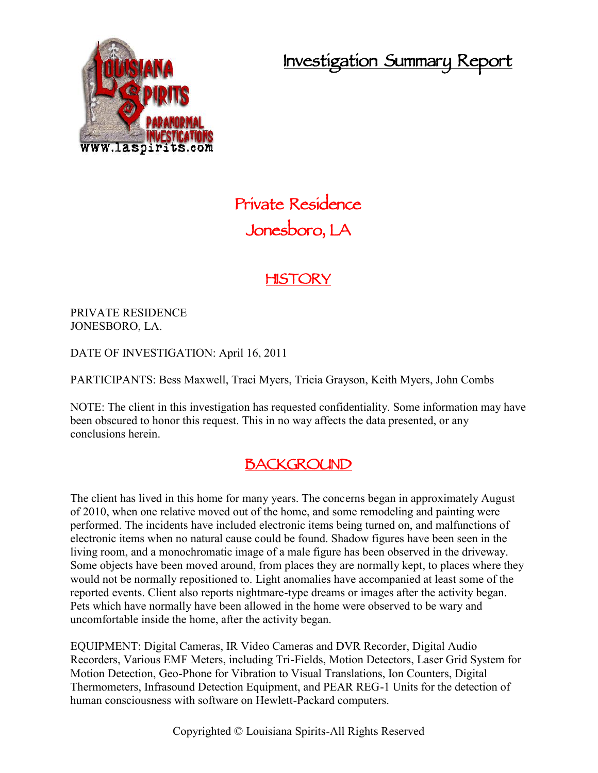**Investigation Summary Report**



# **Private Residence Jonesboro, LA**

### **HISTORY**

PRIVATE RESIDENCE JONESBORO, LA.

DATE OF INVESTIGATION: April 16, 2011

PARTICIPANTS: Bess Maxwell, Traci Myers, Tricia Grayson, Keith Myers, John Combs

NOTE: The client in this investigation has requested confidentiality. Some information may have been obscured to honor this request. This in no way affects the data presented, or any conclusions herein.

#### **BACKGROUND**

The client has lived in this home for many years. The concerns began in approximately August of 2010, when one relative moved out of the home, and some remodeling and painting were performed. The incidents have included electronic items being turned on, and malfunctions of electronic items when no natural cause could be found. Shadow figures have been seen in the living room, and a monochromatic image of a male figure has been observed in the driveway. Some objects have been moved around, from places they are normally kept, to places where they would not be normally repositioned to. Light anomalies have accompanied at least some of the reported events. Client also reports nightmare-type dreams or images after the activity began. Pets which have normally have been allowed in the home were observed to be wary and uncomfortable inside the home, after the activity began.

EQUIPMENT: Digital Cameras, IR Video Cameras and DVR Recorder, Digital Audio Recorders, Various EMF Meters, including Tri-Fields, Motion Detectors, Laser Grid System for Motion Detection, Geo-Phone for Vibration to Visual Translations, Ion Counters, Digital Thermometers, Infrasound Detection Equipment, and PEAR REG-1 Units for the detection of human consciousness with software on Hewlett-Packard computers.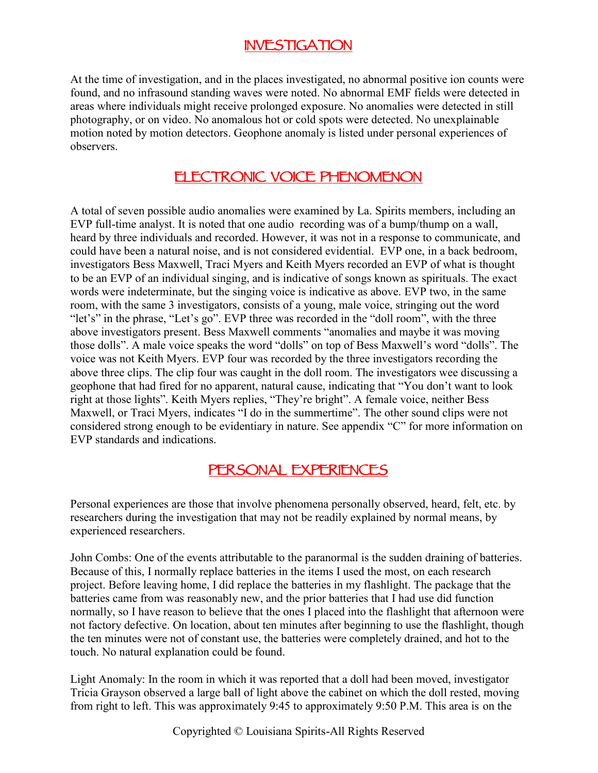### **INVESTIGATION**

At the time of investigation, and in the places investigated, no abnormal positive ion counts were found, and no infrasound standing waves were noted. No abnormal EMF fields were detected in areas where individuals might receive prolonged exposure. No anomalies were detected in still photography, or on video. No anomalous hot or cold spots were detected. No unexplainable motion noted by motion detectors. Geophone anomaly is listed under personal experiences of observers.

#### **ELECTRONIC VOICE PHENOMENON**

A total of seven possible audio anomalies were examined by La. Spirits members, including an EVP full-time analyst. It is noted that one audio recording was of a bump/thump on a wall, heard by three individuals and recorded. However, it was not in a response to communicate, and could have been a natural noise, and is not considered evidential. EVP one, in a back bedroom, investigators Bess Maxwell, Traci Myers and Keith Myers recorded an EVP of what is thought to be an EVP of an individual singing, and is indicative of songs known as spirituals. The exact words were indeterminate, but the singing voice is indicative as above. EVP two, in the same room, with the same 3 investigators, consists of a young, male voice, stringing out the word "let's" in the phrase, "Let's go". EVP three was recorded in the "doll room", with the three above investigators present. Bess Maxwell comments "anomalies and maybe it was moving those dolls". A male voice speaks the word "dolls" on top of Bess Maxwell's word "dolls". The voice was not Keith Myers. EVP four was recorded by the three investigators recording the above three clips. The clip four was caught in the doll room. The investigators wee discussing a geophone that had fired for no apparent, natural cause, indicating that "You don't want to look right at those lights". Keith Myers replies, "They're bright". A female voice, neither Bess Maxwell, or Traci Myers, indicates "I do in the summertime". The other sound clips were not considered strong enough to be evidentiary in nature. See appendix "C" for more information on EVP standards and indications.

#### **PERSONAL EXPERIENCES**

Personal experiences are those that involve phenomena personally observed, heard, felt, etc. by researchers during the investigation that may not be readily explained by normal means, by experienced researchers.

John Combs: One of the events attributable to the paranormal is the sudden draining of batteries. Because of this, I normally replace batteries in the items I used the most, on each research project. Before leaving home, I did replace the batteries in my flashlight. The package that the batteries came from was reasonably new, and the prior batteries that I had use did function normally, so I have reason to believe that the ones I placed into the flashlight that afternoon were not factory defective. On location, about ten minutes after beginning to use the flashlight, though the ten minutes were not of constant use, the batteries were completely drained, and hot to the touch. No natural explanation could be found.

Light Anomaly: In the room in which it was reported that a doll had been moved, investigator Tricia Grayson observed a large ball of light above the cabinet on which the doll rested, moving from right to left. This was approximately 9:45 to approximately 9:50 P.M. This area is on the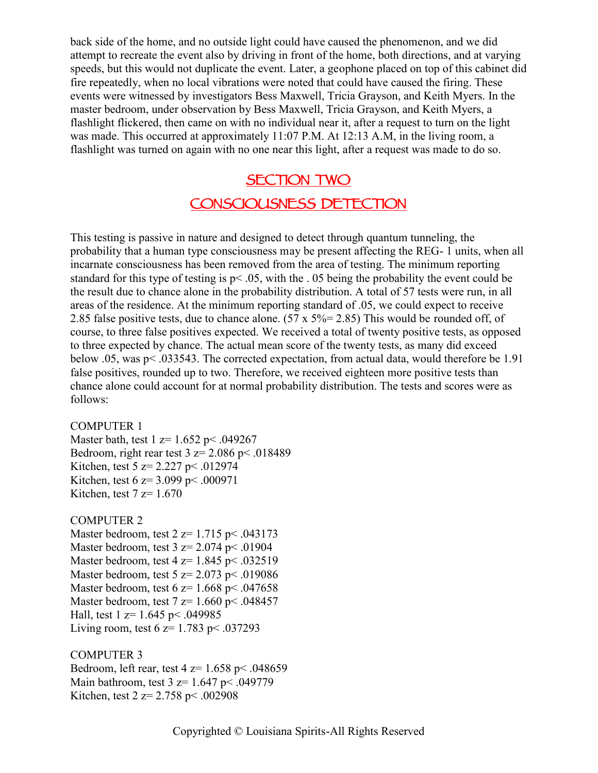back side of the home, and no outside light could have caused the phenomenon, and we did attempt to recreate the event also by driving in front of the home, both directions, and at varying speeds, but this would not duplicate the event. Later, a geophone placed on top of this cabinet did fire repeatedly, when no local vibrations were noted that could have caused the firing. These events were witnessed by investigators Bess Maxwell, Tricia Grayson, and Keith Myers. In the master bedroom, under observation by Bess Maxwell, Tricia Grayson, and Keith Myers, a flashlight flickered, then came on with no individual near it, after a request to turn on the light was made. This occurred at approximately 11:07 P.M. At 12:13 A.M, in the living room, a flashlight was turned on again with no one near this light, after a request was made to do so.

## **SECTION TWO CONSCIOUSNESS DETECTION**

This testing is passive in nature and designed to detect through quantum tunneling, the probability that a human type consciousness may be present affecting the REG- 1 units, when all incarnate consciousness has been removed from the area of testing. The minimum reporting standard for this type of testing is  $p < .05$ , with the  $.05$  being the probability the event could be the result due to chance alone in the probability distribution. A total of 57 tests were run, in all areas of the residence. At the minimum reporting standard of .05, we could expect to receive 2.85 false positive tests, due to chance alone.  $(57 \times 5\% = 2.85)$  This would be rounded off, of course, to three false positives expected. We received a total of twenty positive tests, as opposed to three expected by chance. The actual mean score of the twenty tests, as many did exceed below .05, was p< .033543. The corrected expectation, from actual data, would therefore be 1.91 false positives, rounded up to two. Therefore, we received eighteen more positive tests than chance alone could account for at normal probability distribution. The tests and scores were as follows:

#### COMPUTER 1

Master bath, test 1 z= 1.652 p < .049267 Bedroom, right rear test  $3 z = 2.086$  p $\leq$  0.018489 Kitchen, test 5 z= 2.227 p< .012974 Kitchen, test 6 z= 3.099 p< .000971 Kitchen, test  $7 z= 1.670$ 

#### COMPUTER 2

Master bedroom, test  $2 \text{ z} = 1.715 \text{ p} \leq .043173$ Master bedroom, test  $3 \text{ z} = 2.074 \text{ p} \le .01904$ Master bedroom, test  $4 \text{ z} = 1.845 \text{ p} \leq .032519$ Master bedroom, test 5 z= 2.073 p< .019086 Master bedroom, test 6  $z=1.668$  p $\leq$  047658 Master bedroom, test  $7 z= 1.660 \text{ p} \le .048457$ Hall, test 1 z= 1.645 p< .049985 Living room, test 6  $z=1.783$  p< .037293

COMPUTER 3 Bedroom, left rear, test  $4 \text{ z} = 1.658 \text{ p} \le .048659$ Main bathroom, test  $3 \text{ z} = 1.647 \text{ p} \le .049779$ Kitchen, test 2 z= 2.758 p< .002908